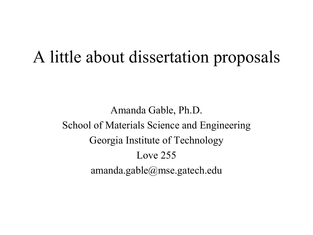# A little about dissertation proposals

Amanda Gable, Ph.D. School of Materials Science and Engineering Georgia Institute of Technology Love 255 amanda.gable@mse.gatech.edu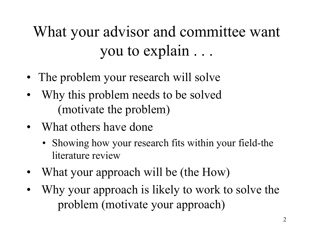# What your advisor and committee want you to explain . . .

- The problem your research will solve
- Why this problem needs to be solved (motivate the problem)
- What others have done
	- Showing how your research fits within your field-the literature review
- What your approach will be (the How)
- Why your approach is likely to work to solve the problem (motivate your approach)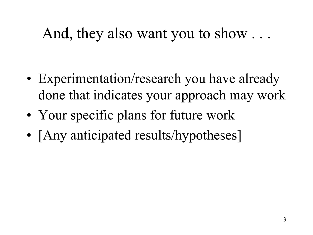### And, they also want you to show . . .

- Experimentation/research you have already done that indicates your approach may work
- Your specific plans for future work
- [Any anticipated results/hypotheses]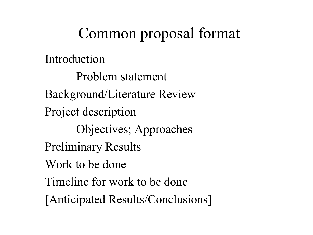# Common proposal format

Introduction

Problem statement Background/Literature Review Project description Objectives; Approaches Preliminary Results Work to be done Timeline for work to be done [Anticipated Results/Conclusions]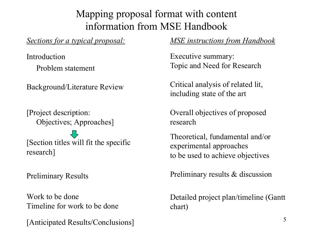### Mapping proposal format with content information from MSE Handbook

*Sections for a typical proposal:*

Introduction Problem statement

Background/Literature Review

[Project description: Objectives; Approaches]

[Section titles will fit the specific research]

Preliminary Results

Work to be done Timeline for work to be done

[Anticipated Results/Conclusions] <sup>5</sup>

#### *MSE instructions from Handbook*

Executive summary: Topic and Need for Research

Critical analysis of related lit, including state of the art

Overall objectives of proposed research

Theoretical, fundamental and/or experimental approaches to be used to achieve objectives

Preliminary results & discussion

Detailed project plan/timeline (Gantt chart)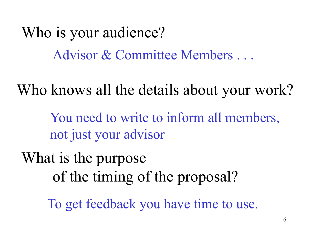Who is your audience? Advisor & Committee Members . . .

Who knows all the details about your work?

You need to write to inform all members, not just your advisor

What is the purpose of the timing of the proposal?

To get feedback you have time to use.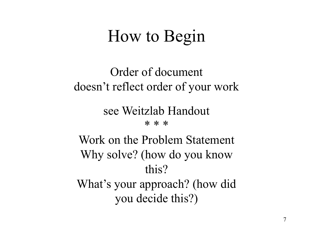# How to Begin

### Order of document doesn't reflect order of your work

### see Weitzlab Handout

#### \* \* \*

Work on the Problem Statement Why solve? (how do you know this?

What's your approach? (how did you decide this?)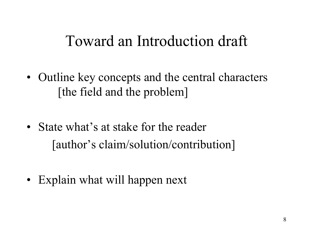### Toward an Introduction draft

- Outline key concepts and the central characters [the field and the problem]
- State what's at stake for the reader [author's claim/solution/contribution]
- Explain what will happen next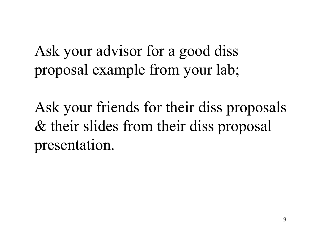Ask your advisor for a good diss proposal example from your lab;

Ask your friends for their diss proposals & their slides from their diss proposal presentation.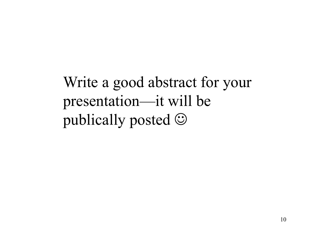Write a good abstract for your presentation—it will be publically posted  $\odot$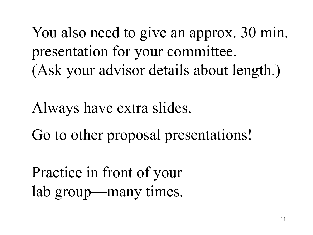You also need to give an approx. 30 min. presentation for your committee. (Ask your advisor details about length.)

Always have extra slides.

Go to other proposal presentations!

Practice in front of your lab group—many times.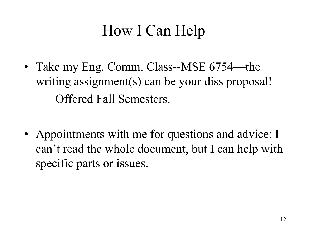# How I Can Help

- Take my Eng. Comm. Class--MSE 6754—the writing assignment(s) can be your diss proposal! Offered Fall Semesters.
- Appointments with me for questions and advice: I can't read the whole document, but I can help with specific parts or issues.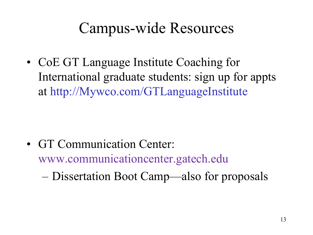## Campus-wide Resources

• CoE GT Language Institute Coaching for International graduate students: sign up for appts at http://Mywco.com/GTLanguageInstitute

• GT Communication Center: www.communicationcenter.gatech.edu

– Dissertation Boot Camp—also for proposals